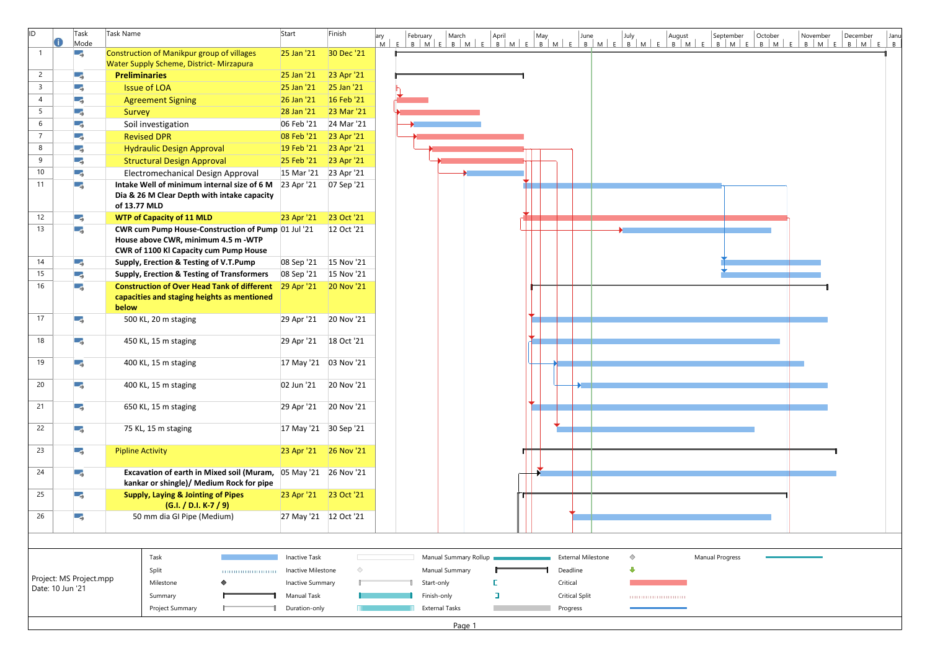| <b>ID</b>       |                                                          | Task<br>Mode | Task Name                                                                                                             | Start                   | Finish                 | ary | February   | March                 | April                                |  |                           |  |            |                            |  | September              | October | November | December | Janu |
|-----------------|----------------------------------------------------------|--------------|-----------------------------------------------------------------------------------------------------------------------|-------------------------|------------------------|-----|------------|-----------------------|--------------------------------------|--|---------------------------|--|------------|----------------------------|--|------------------------|---------|----------|----------|------|
|                 |                                                          | LБ,          | <b>Construction of Manikpur group of villages</b>                                                                     | 25 Jan '21              | 30 Dec '21             |     |            |                       |                                      |  |                           |  |            |                            |  |                        |         |          |          |      |
|                 |                                                          |              | Water Supply Scheme, District- Mirzapura                                                                              |                         |                        |     |            |                       |                                      |  |                           |  |            |                            |  |                        |         |          |          |      |
| $2^{\circ}$     |                                                          | υş,          | <b>Preliminaries</b>                                                                                                  | 25 Jan '21              | 23 Apr '21             |     |            |                       |                                      |  |                           |  |            |                            |  |                        |         |          |          |      |
| $\mathsf{3}$    |                                                          | ۰,           | <b>Issue of LOA</b>                                                                                                   | 25 Jan '21              | 25 Jan '21             |     |            |                       |                                      |  |                           |  |            |                            |  |                        |         |          |          |      |
| $\overline{4}$  |                                                          | -5           | <b>Agreement Signing</b>                                                                                              | 26 Jan '21              | 16 Feb '21             |     |            |                       |                                      |  |                           |  |            |                            |  |                        |         |          |          |      |
| $5\overline{)}$ |                                                          | w,           | Survey                                                                                                                | 28 Jan '21              | 23 Mar '21             |     |            |                       |                                      |  |                           |  |            |                            |  |                        |         |          |          |      |
| 6               |                                                          | ГŞ.          | Soil investigation                                                                                                    | 06 Feb '21              | 24 Mar '21             |     |            |                       |                                      |  |                           |  |            |                            |  |                        |         |          |          |      |
| $\overline{7}$  |                                                          | ۰,           | <b>Revised DPR</b>                                                                                                    | 08 Feb '21              | 23 Apr '21             |     |            |                       |                                      |  |                           |  |            |                            |  |                        |         |          |          |      |
| 8               |                                                          | u,           | <b>Hydraulic Design Approval</b>                                                                                      | 19 Feb '21              | 23 Apr '21             |     |            |                       |                                      |  |                           |  |            |                            |  |                        |         |          |          |      |
| 9               |                                                          | -5           | <b>Structural Design Approval</b>                                                                                     | 25 Feb '21              | 23 Apr '21             |     |            |                       |                                      |  |                           |  |            |                            |  |                        |         |          |          |      |
| 10              |                                                          | Щ.           | Electromechanical Design Approval                                                                                     | 15 Mar '21              | 23 Apr '21             |     |            |                       |                                      |  |                           |  |            |                            |  |                        |         |          |          |      |
| 11              |                                                          | ۰,           | Intake Well of minimum internal size of 6 M 23 Apr '21                                                                |                         | 07 Sep '21             |     |            |                       |                                      |  |                           |  |            |                            |  |                        |         |          |          |      |
|                 |                                                          |              | Dia & 26 M Clear Depth with intake capacity<br>of 13.77 MLD                                                           |                         |                        |     |            |                       |                                      |  |                           |  |            |                            |  |                        |         |          |          |      |
| 12              |                                                          | Œς.          | <b>WTP of Capacity of 11 MLD</b>                                                                                      | 23 Apr '21              | 23 Oct '21             |     |            |                       |                                      |  |                           |  |            |                            |  |                        |         |          |          |      |
| 13              |                                                          | Г.           | CWR cum Pump House-Construction of Pump 01 Jul '21                                                                    |                         | 12 Oct '21             |     |            |                       |                                      |  |                           |  |            |                            |  |                        |         |          |          |      |
|                 |                                                          |              | House above CWR, minimum 4.5 m -WTP                                                                                   |                         |                        |     |            |                       |                                      |  |                           |  |            |                            |  |                        |         |          |          |      |
|                 |                                                          |              | CWR of 1100 Kl Capacity cum Pump House                                                                                |                         |                        |     |            |                       |                                      |  |                           |  |            |                            |  |                        |         |          |          |      |
| 14              |                                                          | - 5          | Supply, Erection & Testing of V.T.Pump                                                                                |                         | 08 Sep '21 15 Nov '21  |     |            |                       |                                      |  |                           |  |            |                            |  |                        |         |          |          |      |
| 15              |                                                          | υş.          | <b>Supply, Erection &amp; Testing of Transformers</b>                                                                 |                         | 08 Sep '21 15 Nov '21  |     |            |                       |                                      |  |                           |  |            |                            |  |                        |         |          |          |      |
| 16              |                                                          | Œς.          | <b>Construction of Over Head Tank of different</b> 29 Apr '21<br>capacities and staging heights as mentioned<br>below |                         | <b>20 Nov '21</b>      |     |            |                       |                                      |  |                           |  |            |                            |  |                        |         |          |          |      |
| 17              |                                                          | ш,           | 500 KL, 20 m staging                                                                                                  | 29 Apr '21              | 20 Nov '21             |     |            |                       |                                      |  |                           |  |            |                            |  |                        |         |          |          |      |
| 18              |                                                          | Œς.          | 450 KL, 15 m staging                                                                                                  | 29 Apr '21 18 Oct '21   |                        |     |            |                       |                                      |  |                           |  |            |                            |  |                        |         |          |          |      |
| 19              |                                                          | Щ.           | 400 KL, 15 m staging                                                                                                  |                         | 17 May '21  03 Nov '21 |     |            |                       |                                      |  |                           |  |            |                            |  |                        |         |          |          |      |
| 20              |                                                          | Lς.          | 400 KL, 15 m staging                                                                                                  | 02 Jun '21              | 20 Nov '21             |     |            |                       |                                      |  |                           |  |            |                            |  |                        |         |          |          |      |
| 21              |                                                          | -5           | 650 KL, 15 m staging                                                                                                  |                         | 29 Apr '21 20 Nov '21  |     |            |                       |                                      |  |                           |  |            |                            |  |                        |         |          |          |      |
| 22              |                                                          | С.,          | 75 KL, 15 m staging                                                                                                   | 17 May '21 30 Sep '21   |                        |     |            |                       |                                      |  |                           |  |            |                            |  |                        |         |          |          |      |
| 23              |                                                          | -5           | <b>Pipline Activity</b>                                                                                               |                         | 23 Apr '21 26 Nov '21  |     |            |                       |                                      |  |                           |  |            |                            |  |                        |         |          |          |      |
| 24              |                                                          | -5           | Excavation of earth in Mixed soil (Muram, 05 May '21 26 Nov '21<br>kankar or shingle)/ Medium Rock for pipe           |                         |                        |     |            |                       |                                      |  |                           |  |            |                            |  |                        |         |          |          |      |
| 25              |                                                          | -5           | <b>Supply, Laying &amp; Jointing of Pipes</b><br>$(G.I. / D.I. K-7 / 9)$                                              | 23 Apr '21              | 23 Oct '21             |     |            |                       |                                      |  |                           |  |            |                            |  |                        |         |          |          |      |
| 26              |                                                          | Πş.          | 50 mm dia GI Pipe (Medium)                                                                                            | 27 May '21   12 Oct '21 |                        |     |            |                       |                                      |  |                           |  |            |                            |  |                        |         |          |          |      |
|                 |                                                          |              |                                                                                                                       |                         |                        |     |            |                       |                                      |  |                           |  |            |                            |  |                        |         |          |          |      |
|                 |                                                          |              | Task                                                                                                                  | <b>Inactive Task</b>    |                        |     |            | Manual Summary Rollup |                                      |  | <b>External Milestone</b> |  | $\Diamond$ |                            |  | <b>Manual Progress</b> |         |          |          |      |
|                 |                                                          |              | Split                                                                                                                 | Inactive Milestone      | ◇                      |     |            | Manual Summary        |                                      |  | Deadline                  |  |            |                            |  |                        |         |          |          |      |
|                 | Project: MS Project.mpp<br>Milestone<br>Date: 10 Jun '21 |              |                                                                                                                       |                         |                        |     | Start-only |                       |                                      |  | Critical                  |  |            |                            |  |                        |         |          |          |      |
|                 |                                                          |              |                                                                                                                       | Manual Task             | Inactive Summary       |     |            |                       | Finish-only<br><b>Critical Split</b> |  |                           |  |            |                            |  |                        |         |          |          |      |
|                 |                                                          |              | Summary                                                                                                               |                         |                        |     |            |                       |                                      |  |                           |  |            | ,,,,,,,,,,,,,,,,,,,,,,,,,, |  |                        |         |          |          |      |
|                 |                                                          |              | Project Summary                                                                                                       | Duration-only           |                        |     |            | <b>External Tasks</b> |                                      |  | Progress                  |  |            |                            |  |                        |         |          |          |      |



Page 1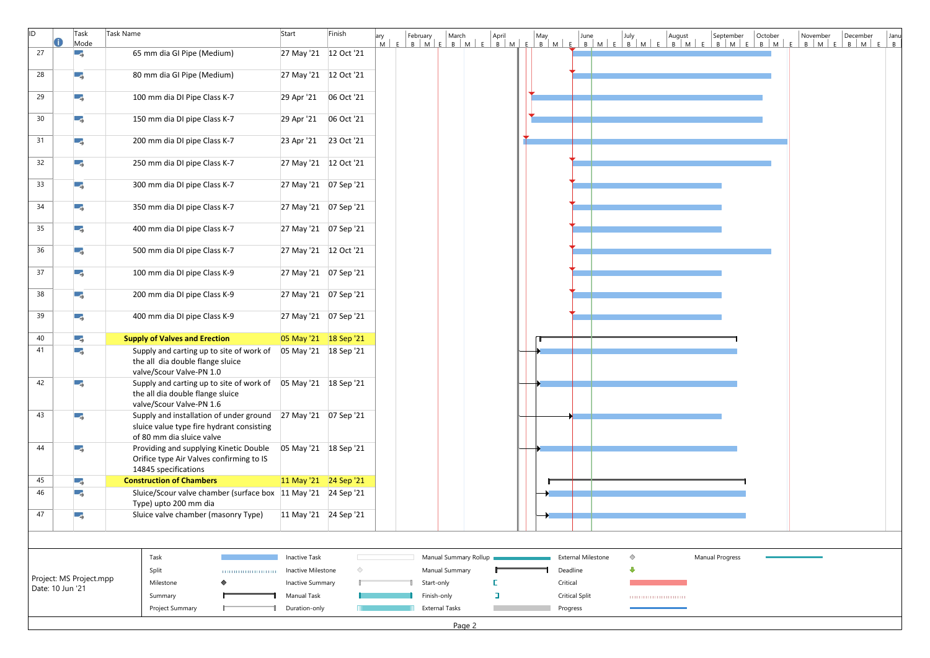| lid.             | Task<br>Mode            | Task Name                                                                                                                               | Start                   | Finish                 |  |                       |                       |  |                           |            | ary February March April May June July August September October<br>M E B M E B M E B M E B M E B M E B M E B M E B M E B M E B M E |                        |  | November | December | Janu<br>$B$ $M$ $E$ $B$ $M$ $E$ $B$ |  |
|------------------|-------------------------|-----------------------------------------------------------------------------------------------------------------------------------------|-------------------------|------------------------|--|-----------------------|-----------------------|--|---------------------------|------------|------------------------------------------------------------------------------------------------------------------------------------|------------------------|--|----------|----------|-------------------------------------|--|
| 27               | -5                      | 65 mm dia GI Pipe (Medium)                                                                                                              | 27 May '21   12 Oct '21 |                        |  |                       |                       |  |                           |            |                                                                                                                                    |                        |  |          |          |                                     |  |
| 28               | Г.                      | 80 mm dia GI Pipe (Medium)                                                                                                              | 27 May '21   12 Oct '21 |                        |  |                       |                       |  |                           |            |                                                                                                                                    |                        |  |          |          |                                     |  |
| 29               | ГĄ.                     | 100 mm dia DI Pipe Class K-7                                                                                                            | 29 Apr '21              | 06 Oct '21             |  |                       |                       |  |                           |            |                                                                                                                                    |                        |  |          |          |                                     |  |
| 30               | ۳,                      | 150 mm dia DI pipe Class K-7                                                                                                            | 29 Apr '21 06 Oct '21   |                        |  |                       |                       |  |                           |            |                                                                                                                                    |                        |  |          |          |                                     |  |
| 31               | -3                      | 200 mm dia DI pipe Class K-7                                                                                                            | 23 Apr '21 23 Oct '21   |                        |  |                       |                       |  |                           |            |                                                                                                                                    |                        |  |          |          |                                     |  |
| 32               | Πg.                     | 250 mm dia DI pipe Class K-7                                                                                                            | 27 May '21   12 Oct '21 |                        |  |                       |                       |  |                           |            |                                                                                                                                    |                        |  |          |          |                                     |  |
| 33               | Πş.                     | 300 mm dia DI pipe Class K-7                                                                                                            |                         | 27 May '21  07 Sep '21 |  |                       |                       |  |                           |            |                                                                                                                                    |                        |  |          |          |                                     |  |
| 34               | Г.                      | 350 mm dia DI pipe Class K-7                                                                                                            |                         | 27 May '21  07 Sep '21 |  |                       |                       |  |                           |            |                                                                                                                                    |                        |  |          |          |                                     |  |
| 35               | Гą.                     | 400 mm dia DI pipe Class K-7                                                                                                            | 27 May '21  07 Sep '21  |                        |  |                       |                       |  |                           |            |                                                                                                                                    |                        |  |          |          |                                     |  |
| 36               | -5                      | 500 mm dia DI pipe Class K-7                                                                                                            | 27 May '21 12 Oct '21   |                        |  |                       |                       |  |                           |            |                                                                                                                                    |                        |  |          |          |                                     |  |
| 37               | Шş.                     | 100 mm dia DI pipe Class K-9                                                                                                            |                         | 27 May '21  07 Sep '21 |  |                       |                       |  |                           |            |                                                                                                                                    |                        |  |          |          |                                     |  |
| 38               | Гą.                     | 200 mm dia DI pipe Class K-9                                                                                                            | 27 May '21  07 Sep '21  |                        |  |                       |                       |  |                           |            |                                                                                                                                    |                        |  |          |          |                                     |  |
| 39               | -5                      | 400 mm dia DI pipe Class K-9                                                                                                            |                         | 27 May '21  07 Sep '21 |  |                       |                       |  |                           |            |                                                                                                                                    |                        |  |          |          |                                     |  |
| 40               | - 5                     | <b>Supply of Valves and Erection</b>                                                                                                    |                         | 05 May '21 18 Sep '21  |  |                       |                       |  |                           |            |                                                                                                                                    |                        |  |          |          |                                     |  |
| 41               | -5                      | Supply and carting up to site of work of<br>the all dia double flange sluice<br>valve/Scour Valve-PN 1.0                                | 05 May '21 18 Sep '21   |                        |  |                       |                       |  |                           |            |                                                                                                                                    |                        |  |          |          |                                     |  |
| 42               | Œ,                      | Supply and carting up to site of work of   05 May '21   18 Sep '21<br>the all dia double flange sluice<br>valve/Scour Valve-PN 1.6      |                         |                        |  |                       |                       |  |                           |            |                                                                                                                                    |                        |  |          |          |                                     |  |
| 43               | ۰,                      | Supply and installation of under ground 27 May '21 07 Sep '21<br>sluice value type fire hydrant consisting<br>of 80 mm dia sluice valve |                         |                        |  |                       |                       |  |                           |            |                                                                                                                                    |                        |  |          |          |                                     |  |
| 44               | Œς.                     | Providing and supplying Kinetic Double<br>Orifice type Air Valves confirming to IS<br>14845 specifications                              | 05 May '21 18 Sep '21   |                        |  |                       |                       |  |                           |            |                                                                                                                                    |                        |  |          |          |                                     |  |
| 45               | Πş.                     | <b>Construction of Chambers</b>                                                                                                         | 11 May '21 24 Sep '21   |                        |  |                       |                       |  |                           |            |                                                                                                                                    |                        |  |          |          |                                     |  |
| 46               | LΞ,                     | Sluice/Scour valve chamber (surface box 11 May '21 24 Sep '21<br>Type) upto 200 mm dia                                                  |                         |                        |  |                       |                       |  |                           |            |                                                                                                                                    |                        |  |          |          |                                     |  |
| 47               | LΞ,                     | Sluice valve chamber (masonry Type)                                                                                                     | 11 May '21 24 Sep '21   |                        |  |                       |                       |  |                           |            |                                                                                                                                    |                        |  |          |          |                                     |  |
|                  |                         |                                                                                                                                         |                         |                        |  |                       |                       |  |                           |            |                                                                                                                                    |                        |  |          |          |                                     |  |
|                  |                         | Task                                                                                                                                    | <b>Inactive Task</b>    |                        |  |                       | Manual Summary Rollup |  | <b>External Milestone</b> | $\Diamond$ |                                                                                                                                    | <b>Manual Progress</b> |  |          |          |                                     |  |
|                  |                         | Split                                                                                                                                   | Inactive Milestone      | ◇                      |  | Manual Summary        |                       |  | Deadline                  |            |                                                                                                                                    |                        |  |          |          |                                     |  |
| Date: 10 Jun '21 | Project: MS Project.mpp | Milestone                                                                                                                               | Inactive Summary        |                        |  | Start-only            |                       |  | Critical                  |            |                                                                                                                                    |                        |  |          |          |                                     |  |
|                  |                         | Summary                                                                                                                                 | <b>Manual Task</b>      |                        |  | Finish-only           |                       |  | <b>Critical Split</b>     |            | ,,,,,,,,,,,,,,,,,,,,,,,,,                                                                                                          |                        |  |          |          |                                     |  |
|                  |                         | Project Summary                                                                                                                         | Duration-only           |                        |  | <b>External Tasks</b> |                       |  | Progress                  |            |                                                                                                                                    |                        |  |          |          |                                     |  |
|                  |                         |                                                                                                                                         |                         |                        |  |                       |                       |  |                           |            |                                                                                                                                    |                        |  |          |          |                                     |  |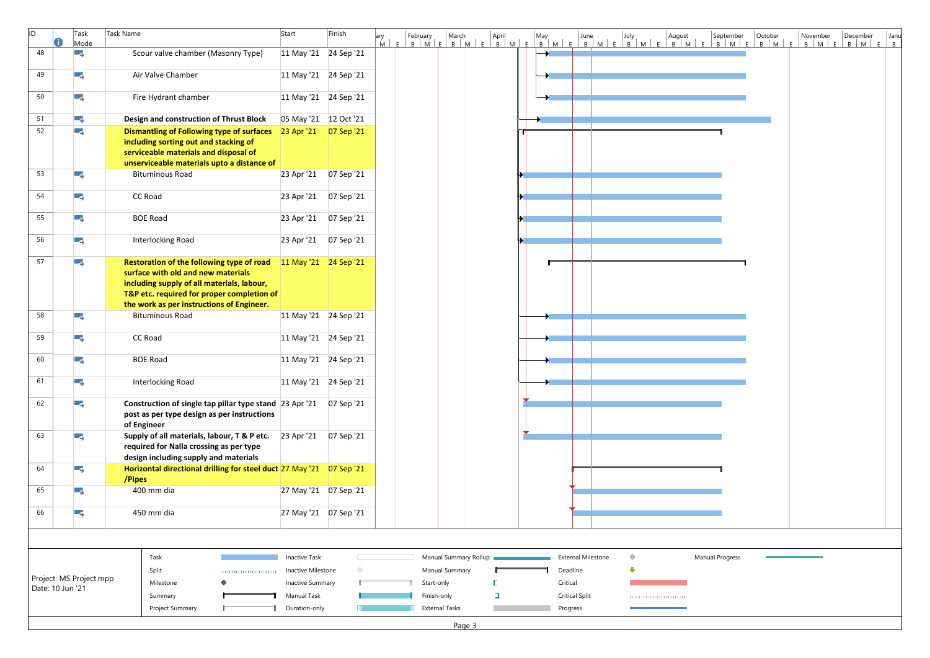| lid |                             | Task<br>Mode            | Task Name                                                                                                                                                                                                                | Start                   | Finish                  | ary |                       |                       | April |                           |            |                           | ary February March April May June July August September October<br>M E B M E B M E B M E B M E B M E B M E B M E B M E B M E B M | October | November<br>E | December<br>$B$ $M$ $E$ $B$ $M$ | Janu<br>$E \mid B$ |
|-----|-----------------------------|-------------------------|--------------------------------------------------------------------------------------------------------------------------------------------------------------------------------------------------------------------------|-------------------------|-------------------------|-----|-----------------------|-----------------------|-------|---------------------------|------------|---------------------------|----------------------------------------------------------------------------------------------------------------------------------|---------|---------------|---------------------------------|--------------------|
| 48  |                             | ۳.,                     | Scour valve chamber (Masonry Type)                                                                                                                                                                                       | 11 May '21 24 Sep '21   |                         |     |                       |                       |       |                           |            |                           |                                                                                                                                  |         |               |                                 |                    |
| 49  |                             | Ε,                      | Air Valve Chamber                                                                                                                                                                                                        | 11 May '21 24 Sep '21   |                         |     |                       |                       |       |                           |            |                           |                                                                                                                                  |         |               |                                 |                    |
| 50  |                             | ۰,                      | Fire Hydrant chamber                                                                                                                                                                                                     |                         | 11 May '21 24 Sep '21   |     |                       |                       |       |                           |            |                           |                                                                                                                                  |         |               |                                 |                    |
| 51  |                             | ۳ş.                     | Design and construction of Thrust Block                                                                                                                                                                                  | 05 May '21 12 Oct '21   |                         |     |                       |                       |       |                           |            |                           |                                                                                                                                  |         |               |                                 |                    |
| 52  |                             | Ξ,                      | <b>Dismantling of Following type of surfaces</b><br>including sorting out and stacking of<br>serviceable materials and disposal of<br>unserviceable materials upto a distance of                                         | 23 Apr '21  07 Sep '21  |                         |     |                       |                       |       |                           |            |                           |                                                                                                                                  |         |               |                                 |                    |
| 53  |                             | LΞ,                     | <b>Bituminous Road</b>                                                                                                                                                                                                   | 23 Apr '21   07 Sep '21 |                         |     |                       |                       |       |                           |            |                           |                                                                                                                                  |         |               |                                 |                    |
| 54  |                             | ۳,                      | CC Road                                                                                                                                                                                                                  | 23 Apr '21              | 07 Sep '21              |     |                       |                       |       |                           |            |                           |                                                                                                                                  |         |               |                                 |                    |
| 55  |                             | Ε,                      | <b>BOE Road</b>                                                                                                                                                                                                          |                         | 23 Apr '21   07 Sep '21 |     |                       |                       |       |                           |            |                           |                                                                                                                                  |         |               |                                 |                    |
| 56  |                             | - 5                     | <b>Interlocking Road</b>                                                                                                                                                                                                 | 23 Apr '21   07 Sep '21 |                         |     |                       |                       |       |                           |            |                           |                                                                                                                                  |         |               |                                 |                    |
| 57  |                             | Ε,                      | Restoration of the following type of road<br>surface with old and new materials<br>including supply of all materials, labour,<br>T&P etc. required for proper completion of<br>the work as per instructions of Engineer. | $11$ May '21 24 Sep '21 |                         |     |                       |                       |       |                           |            |                           |                                                                                                                                  |         |               |                                 |                    |
| 58  |                             | ۳,                      | <b>Bituminous Road</b>                                                                                                                                                                                                   | 11 May '21 24 Sep '21   |                         |     |                       |                       |       |                           |            |                           |                                                                                                                                  |         |               |                                 |                    |
| 59  |                             | Ε,                      | CC Road                                                                                                                                                                                                                  | 11 May '21 24 Sep '21   |                         |     |                       |                       |       |                           |            |                           |                                                                                                                                  |         |               |                                 |                    |
| 60  |                             | ΠĘ.                     | <b>BOE Road</b>                                                                                                                                                                                                          | 11 May '21 24 Sep '21   |                         |     |                       |                       |       |                           |            |                           |                                                                                                                                  |         |               |                                 |                    |
| 61  |                             | Πş.                     | Interlocking Road                                                                                                                                                                                                        | 11 May '21 24 Sep '21   |                         |     |                       |                       |       |                           |            |                           |                                                                                                                                  |         |               |                                 |                    |
| 62  |                             | Гą.                     | Construction of single tap pillar type stand 23 Apr '21<br>post as per type design as per instructions<br>of Engineer                                                                                                    |                         | 07 Sep '21              |     |                       |                       |       |                           |            |                           |                                                                                                                                  |         |               |                                 |                    |
| 63  |                             | LΞ,                     | Supply of all materials, labour, T & P etc. 23 Apr '21<br>required for Nalla crossing as per type<br>design including supply and materials                                                                               |                         | 07 Sep '21              |     |                       |                       |       |                           |            |                           |                                                                                                                                  |         |               |                                 |                    |
| 64  |                             | LΞ,                     | Horizontal directional drilling for steel duct 27 May '21 07 Sep '21<br>/Pipes                                                                                                                                           |                         |                         |     |                       |                       |       |                           |            |                           |                                                                                                                                  |         |               |                                 |                    |
| 65  |                             | Ε,                      | 400 mm dia                                                                                                                                                                                                               | 27 May '21  07 Sep '21  |                         |     |                       |                       |       |                           |            |                           |                                                                                                                                  |         |               |                                 |                    |
| 66  |                             | Ε,                      | 450 mm dia                                                                                                                                                                                                               | 27 May '21  07 Sep '21  |                         |     |                       |                       |       |                           |            |                           |                                                                                                                                  |         |               |                                 |                    |
|     |                             |                         |                                                                                                                                                                                                                          |                         |                         |     |                       |                       |       |                           |            |                           |                                                                                                                                  |         |               |                                 |                    |
|     |                             |                         | Task                                                                                                                                                                                                                     | <b>Inactive Task</b>    |                         |     |                       | Manual Summary Rollup |       | <b>External Milestone</b> | $\Diamond$ |                           | <b>Manual Progress</b>                                                                                                           |         |               |                                 |                    |
|     |                             |                         | Split                                                                                                                                                                                                                    | Inactive Milestone      | ◇                       |     | Manual Summary        |                       |       | Deadline                  |            |                           |                                                                                                                                  |         |               |                                 |                    |
|     |                             | Project: MS Project.mpp | Milestone                                                                                                                                                                                                                | <b>Inactive Summary</b> |                         |     | Start-only            |                       |       | Critical                  |            |                           |                                                                                                                                  |         |               |                                 |                    |
|     | Date: 10 Jun '21<br>Summary |                         |                                                                                                                                                                                                                          | <b>Manual Task</b>      |                         |     | Finish-only           |                       |       | <b>Critical Split</b>     |            | ,,,,,,,,,,,,,,,,,,,,,,,,, |                                                                                                                                  |         |               |                                 |                    |
|     |                             |                         | Project Summary                                                                                                                                                                                                          | Duration-only           |                         |     | <b>External Tasks</b> |                       |       | Progress                  |            |                           |                                                                                                                                  |         |               |                                 |                    |
|     |                             |                         |                                                                                                                                                                                                                          |                         |                         |     |                       | Page 3                |       |                           |            |                           |                                                                                                                                  |         |               |                                 |                    |